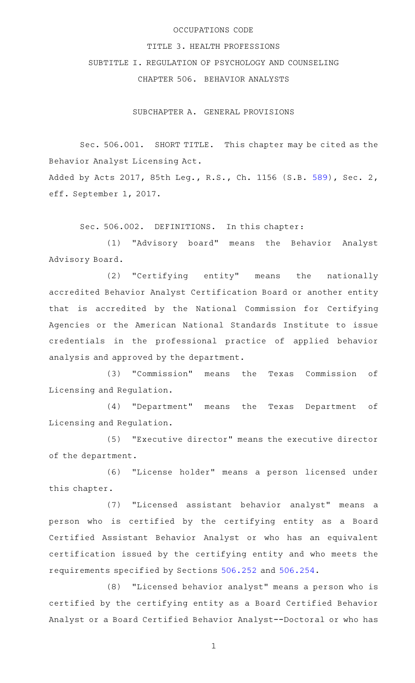## OCCUPATIONS CODE

## TITLE 3. HEALTH PROFESSIONS

SUBTITLE I. REGULATION OF PSYCHOLOGY AND COUNSELING

CHAPTER 506. BEHAVIOR ANALYSTS

SUBCHAPTER A. GENERAL PROVISIONS

Sec. 506.001. SHORT TITLE. This chapter may be cited as the Behavior Analyst Licensing Act. Added by Acts 2017, 85th Leg., R.S., Ch. 1156 (S.B. [589](http://www.legis.state.tx.us/tlodocs/85R/billtext/html/SB00589F.HTM)), Sec. 2,

eff. September 1, 2017.

Sec. 506.002. DEFINITIONS. In this chapter:

(1) "Advisory board" means the Behavior Analyst Advisory Board.

(2) "Certifying entity" means the nationally accredited Behavior Analyst Certification Board or another entity that is accredited by the National Commission for Certifying Agencies or the American National Standards Institute to issue credentials in the professional practice of applied behavior analysis and approved by the department.

(3) "Commission" means the Texas Commission of Licensing and Regulation.

(4) "Department" means the Texas Department of Licensing and Regulation.

(5) "Executive director" means the executive director of the department.

(6) "License holder" means a person licensed under this chapter.

(7) "Licensed assistant behavior analyst" means a person who is certified by the certifying entity as a Board Certified Assistant Behavior Analyst or who has an equivalent certification issued by the certifying entity and who meets the requirements specified by Sections [506.252](http://www.statutes.legis.state.tx.us/GetStatute.aspx?Code=OC&Value=506.252) and [506.254](http://www.statutes.legis.state.tx.us/GetStatute.aspx?Code=OC&Value=506.254).

(8) "Licensed behavior analyst" means a person who is certified by the certifying entity as a Board Certified Behavior Analyst or a Board Certified Behavior Analyst--Doctoral or who has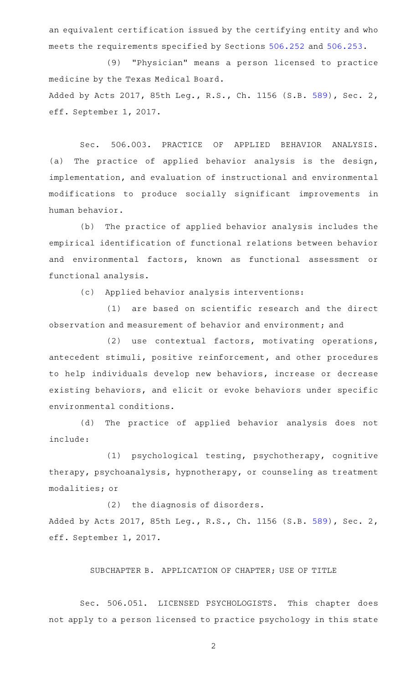an equivalent certification issued by the certifying entity and who meets the requirements specified by Sections [506.252](http://www.statutes.legis.state.tx.us/GetStatute.aspx?Code=OC&Value=506.252) and [506.253.](http://www.statutes.legis.state.tx.us/GetStatute.aspx?Code=OC&Value=506.253)

(9) "Physician" means a person licensed to practice medicine by the Texas Medical Board. Added by Acts 2017, 85th Leg., R.S., Ch. 1156 (S.B. [589](http://www.legis.state.tx.us/tlodocs/85R/billtext/html/SB00589F.HTM)), Sec. 2, eff. September 1, 2017.

Sec. 506.003. PRACTICE OF APPLIED BEHAVIOR ANALYSIS. (a) The practice of applied behavior analysis is the design, implementation, and evaluation of instructional and environmental modifications to produce socially significant improvements in human behavior.

(b) The practice of applied behavior analysis includes the empirical identification of functional relations between behavior and environmental factors, known as functional assessment or functional analysis.

(c) Applied behavior analysis interventions:

(1) are based on scientific research and the direct observation and measurement of behavior and environment; and

(2) use contextual factors, motivating operations, antecedent stimuli, positive reinforcement, and other procedures to help individuals develop new behaviors, increase or decrease existing behaviors, and elicit or evoke behaviors under specific environmental conditions.

(d) The practice of applied behavior analysis does not include:

(1) psychological testing, psychotherapy, cognitive therapy, psychoanalysis, hypnotherapy, or counseling as treatment modalities; or

(2) the diagnosis of disorders. Added by Acts 2017, 85th Leg., R.S., Ch. 1156 (S.B. [589](http://www.legis.state.tx.us/tlodocs/85R/billtext/html/SB00589F.HTM)), Sec. 2, eff. September 1, 2017.

## SUBCHAPTER B. APPLICATION OF CHAPTER; USE OF TITLE

Sec. 506.051. LICENSED PSYCHOLOGISTS. This chapter does not apply to a person licensed to practice psychology in this state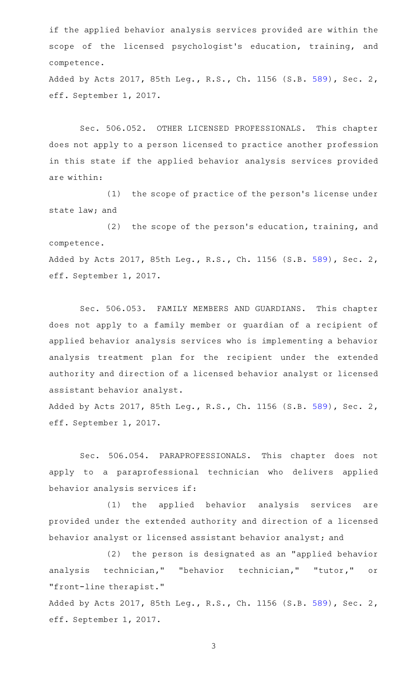if the applied behavior analysis services provided are within the scope of the licensed psychologist 's education, training, and competence.

Added by Acts 2017, 85th Leg., R.S., Ch. 1156 (S.B. [589](http://www.legis.state.tx.us/tlodocs/85R/billtext/html/SB00589F.HTM)), Sec. 2, eff. September 1, 2017.

Sec. 506.052. OTHER LICENSED PROFESSIONALS. This chapter does not apply to a person licensed to practice another profession in this state if the applied behavior analysis services provided are within:

 $(1)$  the scope of practice of the person's license under state law; and

(2) the scope of the person's education, training, and competence. Added by Acts 2017, 85th Leg., R.S., Ch. 1156 (S.B. [589](http://www.legis.state.tx.us/tlodocs/85R/billtext/html/SB00589F.HTM)), Sec. 2, eff. September 1, 2017.

Sec. 506.053. FAMILY MEMBERS AND GUARDIANS. This chapter does not apply to a family member or guardian of a recipient of applied behavior analysis services who is implementing a behavior analysis treatment plan for the recipient under the extended authority and direction of a licensed behavior analyst or licensed assistant behavior analyst.

Added by Acts 2017, 85th Leg., R.S., Ch. 1156 (S.B. [589](http://www.legis.state.tx.us/tlodocs/85R/billtext/html/SB00589F.HTM)), Sec. 2, eff. September 1, 2017.

Sec. 506.054. PARAPROFESSIONALS. This chapter does not apply to a paraprofessional technician who delivers applied behavior analysis services if:

(1) the applied behavior analysis services are provided under the extended authority and direction of a licensed behavior analyst or licensed assistant behavior analyst; and

(2) the person is designated as an "applied behavior analysis technician," "behavior technician," "tutor," or "front-line therapist."

Added by Acts 2017, 85th Leg., R.S., Ch. 1156 (S.B. [589](http://www.legis.state.tx.us/tlodocs/85R/billtext/html/SB00589F.HTM)), Sec. 2, eff. September 1, 2017.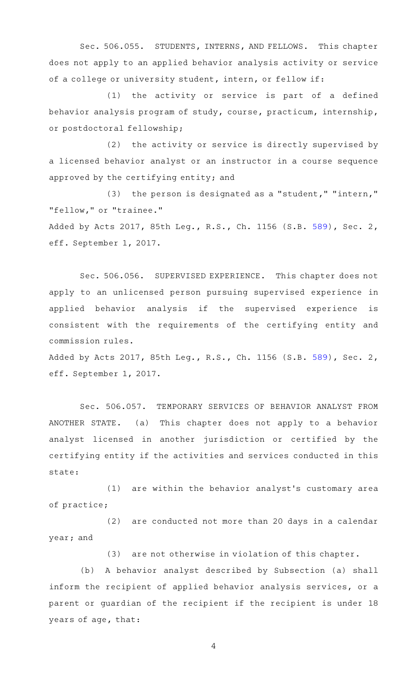Sec. 506.055. STUDENTS, INTERNS, AND FELLOWS. This chapter does not apply to an applied behavior analysis activity or service of a college or university student, intern, or fellow if:

(1) the activity or service is part of a defined behavior analysis program of study, course, practicum, internship, or postdoctoral fellowship;

(2) the activity or service is directly supervised by a licensed behavior analyst or an instructor in a course sequence approved by the certifying entity; and

(3) the person is designated as a "student," "intern," "fellow," or "trainee."

Added by Acts 2017, 85th Leg., R.S., Ch. 1156 (S.B. [589](http://www.legis.state.tx.us/tlodocs/85R/billtext/html/SB00589F.HTM)), Sec. 2, eff. September 1, 2017.

Sec. 506.056. SUPERVISED EXPERIENCE. This chapter does not apply to an unlicensed person pursuing supervised experience in applied behavior analysis if the supervised experience is consistent with the requirements of the certifying entity and commission rules.

Added by Acts 2017, 85th Leg., R.S., Ch. 1156 (S.B. [589](http://www.legis.state.tx.us/tlodocs/85R/billtext/html/SB00589F.HTM)), Sec. 2, eff. September 1, 2017.

Sec. 506.057. TEMPORARY SERVICES OF BEHAVIOR ANALYST FROM ANOTHER STATE. (a) This chapter does not apply to a behavior analyst licensed in another jurisdiction or certified by the certifying entity if the activities and services conducted in this state:

 $(1)$  are within the behavior analyst's customary area of practice;

(2) are conducted not more than 20 days in a calendar year; and

(3) are not otherwise in violation of this chapter.

(b) A behavior analyst described by Subsection (a) shall inform the recipient of applied behavior analysis services, or a parent or guardian of the recipient if the recipient is under 18 years of age, that: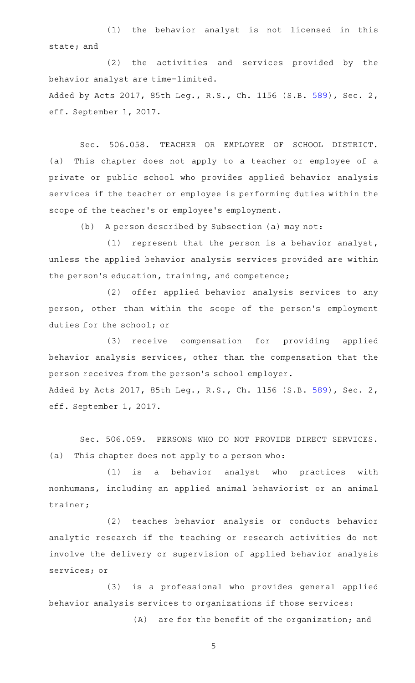(1) the behavior analyst is not licensed in this state; and

(2) the activities and services provided by the behavior analyst are time-limited. Added by Acts 2017, 85th Leg., R.S., Ch. 1156 (S.B. [589](http://www.legis.state.tx.us/tlodocs/85R/billtext/html/SB00589F.HTM)), Sec. 2, eff. September 1, 2017.

Sec. 506.058. TEACHER OR EMPLOYEE OF SCHOOL DISTRICT. (a) This chapter does not apply to a teacher or employee of a private or public school who provides applied behavior analysis services if the teacher or employee is performing duties within the scope of the teacher 's or employee 's employment.

(b) A person described by Subsection (a) may not:

(1) represent that the person is a behavior analyst, unless the applied behavior analysis services provided are within the person's education, training, and competence;

(2) offer applied behavior analysis services to any person, other than within the scope of the person's employment duties for the school; or

(3) receive compensation for providing applied behavior analysis services, other than the compensation that the person receives from the person 's school employer. Added by Acts 2017, 85th Leg., R.S., Ch. 1156 (S.B. [589](http://www.legis.state.tx.us/tlodocs/85R/billtext/html/SB00589F.HTM)), Sec. 2, eff. September 1, 2017.

Sec. 506.059. PERSONS WHO DO NOT PROVIDE DIRECT SERVICES. (a) This chapter does not apply to a person who:

(1) is a behavior analyst who practices with nonhumans, including an applied animal behaviorist or an animal trainer;

(2) teaches behavior analysis or conducts behavior analytic research if the teaching or research activities do not involve the delivery or supervision of applied behavior analysis services; or

(3) is a professional who provides general applied behavior analysis services to organizations if those services:

(A) are for the benefit of the organization; and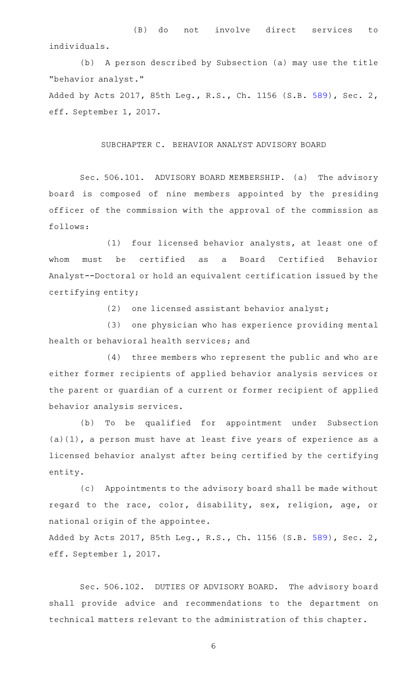(B) do not involve direct services to individuals.

(b) A person described by Subsection (a) may use the title "behavior analyst."

Added by Acts 2017, 85th Leg., R.S., Ch. 1156 (S.B. [589](http://www.legis.state.tx.us/tlodocs/85R/billtext/html/SB00589F.HTM)), Sec. 2, eff. September 1, 2017.

## SUBCHAPTER C. BEHAVIOR ANALYST ADVISORY BOARD

Sec. 506.101. ADVISORY BOARD MEMBERSHIP. (a) The advisory board is composed of nine members appointed by the presiding officer of the commission with the approval of the commission as follows:

(1) four licensed behavior analysts, at least one of whom must be certified as a Board Certified Behavior Analyst--Doctoral or hold an equivalent certification issued by the certifying entity;

(2) one licensed assistant behavior analyst;

(3) one physician who has experience providing mental health or behavioral health services; and

(4) three members who represent the public and who are either former recipients of applied behavior analysis services or the parent or guardian of a current or former recipient of applied behavior analysis services.

(b) To be qualified for appointment under Subsection (a)(1), a person must have at least five years of experience as a licensed behavior analyst after being certified by the certifying entity.

(c) Appointments to the advisory board shall be made without regard to the race, color, disability, sex, religion, age, or national origin of the appointee.

Added by Acts 2017, 85th Leg., R.S., Ch. 1156 (S.B. [589](http://www.legis.state.tx.us/tlodocs/85R/billtext/html/SB00589F.HTM)), Sec. 2, eff. September 1, 2017.

Sec. 506.102. DUTIES OF ADVISORY BOARD. The advisory board shall provide advice and recommendations to the department on technical matters relevant to the administration of this chapter.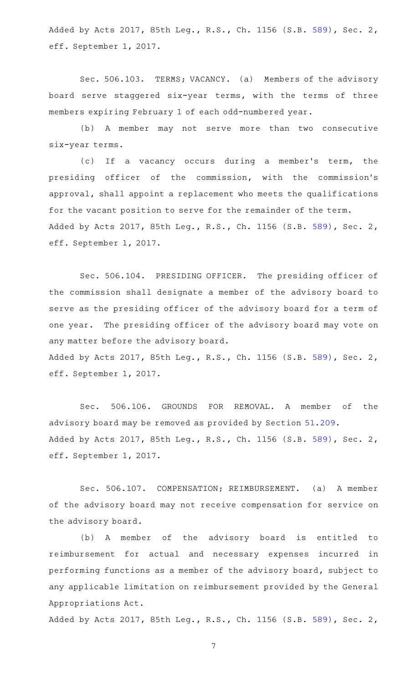Added by Acts 2017, 85th Leg., R.S., Ch. 1156 (S.B. [589](http://www.legis.state.tx.us/tlodocs/85R/billtext/html/SB00589F.HTM)), Sec. 2, eff. September 1, 2017.

Sec. 506.103. TERMS; VACANCY. (a) Members of the advisory board serve staggered six-year terms, with the terms of three members expiring February 1 of each odd-numbered year.

(b) A member may not serve more than two consecutive six-year terms.

(c) If a vacancy occurs during a member's term, the presiding officer of the commission, with the commission 's approval, shall appoint a replacement who meets the qualifications for the vacant position to serve for the remainder of the term. Added by Acts 2017, 85th Leg., R.S., Ch. 1156 (S.B. [589](http://www.legis.state.tx.us/tlodocs/85R/billtext/html/SB00589F.HTM)), Sec. 2, eff. September 1, 2017.

Sec. 506.104. PRESIDING OFFICER. The presiding officer of the commission shall designate a member of the advisory board to serve as the presiding officer of the advisory board for a term of one year. The presiding officer of the advisory board may vote on any matter before the advisory board. Added by Acts 2017, 85th Leg., R.S., Ch. 1156 (S.B. [589](http://www.legis.state.tx.us/tlodocs/85R/billtext/html/SB00589F.HTM)), Sec. 2,

eff. September 1, 2017.

Sec. 506.106. GROUNDS FOR REMOVAL. A member of the advisory board may be removed as provided by Section [51.209.](http://www.statutes.legis.state.tx.us/GetStatute.aspx?Code=OC&Value=51.209) Added by Acts 2017, 85th Leg., R.S., Ch. 1156 (S.B. [589](http://www.legis.state.tx.us/tlodocs/85R/billtext/html/SB00589F.HTM)), Sec. 2, eff. September 1, 2017.

Sec. 506.107. COMPENSATION; REIMBURSEMENT. (a) A member of the advisory board may not receive compensation for service on the advisory board.

(b) A member of the advisory board is entitled to reimbursement for actual and necessary expenses incurred in performing functions as a member of the advisory board, subject to any applicable limitation on reimbursement provided by the General Appropriations Act.

Added by Acts 2017, 85th Leg., R.S., Ch. 1156 (S.B. [589](http://www.legis.state.tx.us/tlodocs/85R/billtext/html/SB00589F.HTM)), Sec. 2,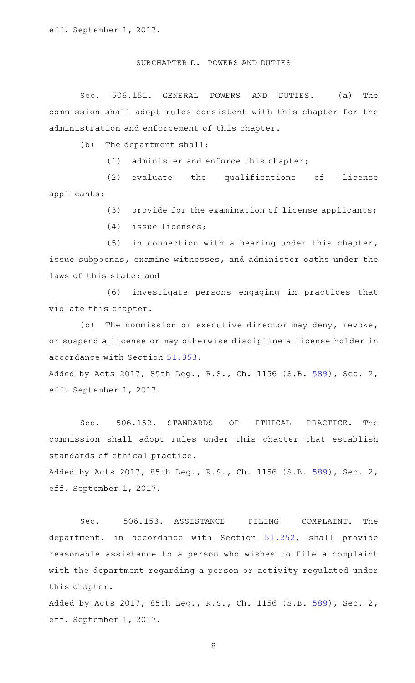# SUBCHAPTER D. POWERS AND DUTIES

Sec. 506.151. GENERAL POWERS AND DUTIES. (a) The commission shall adopt rules consistent with this chapter for the administration and enforcement of this chapter.

(b) The department shall:

 $(1)$  administer and enforce this chapter;

(2) evaluate the qualifications of license applicants;

(3) provide for the examination of license applicants;

 $(4)$  issue licenses;

 $(5)$  in connection with a hearing under this chapter, issue subpoenas, examine witnesses, and administer oaths under the laws of this state; and

(6) investigate persons engaging in practices that violate this chapter.

(c) The commission or executive director may deny, revoke, or suspend a license or may otherwise discipline a license holder in accordance with Section [51.353.](http://www.statutes.legis.state.tx.us/GetStatute.aspx?Code=OC&Value=51.353)

Added by Acts 2017, 85th Leg., R.S., Ch. 1156 (S.B. [589](http://www.legis.state.tx.us/tlodocs/85R/billtext/html/SB00589F.HTM)), Sec. 2, eff. September 1, 2017.

Sec. 506.152. STANDARDS OF ETHICAL PRACTICE. The commission shall adopt rules under this chapter that establish standards of ethical practice.

Added by Acts 2017, 85th Leg., R.S., Ch. 1156 (S.B. [589](http://www.legis.state.tx.us/tlodocs/85R/billtext/html/SB00589F.HTM)), Sec. 2, eff. September 1, 2017.

Sec. 506.153. ASSISTANCE FILING COMPLAINT. The department, in accordance with Section [51.252](http://www.statutes.legis.state.tx.us/GetStatute.aspx?Code=OC&Value=51.252), shall provide reasonable assistance to a person who wishes to file a complaint with the department regarding a person or activity regulated under this chapter.

Added by Acts 2017, 85th Leg., R.S., Ch. 1156 (S.B. [589](http://www.legis.state.tx.us/tlodocs/85R/billtext/html/SB00589F.HTM)), Sec. 2, eff. September 1, 2017.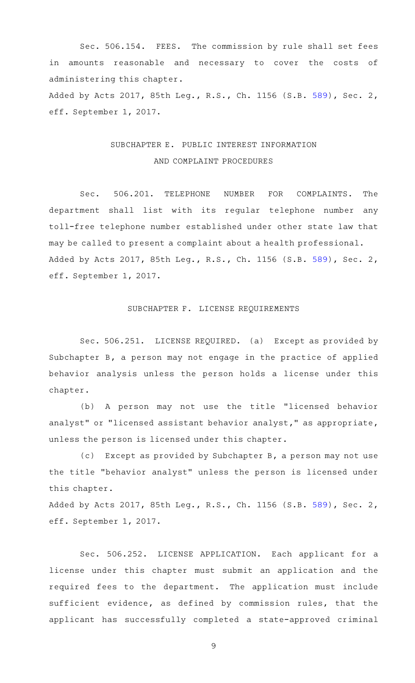Sec. 506.154. FEES. The commission by rule shall set fees in amounts reasonable and necessary to cover the costs of administering this chapter. Added by Acts 2017, 85th Leg., R.S., Ch. 1156 (S.B. [589](http://www.legis.state.tx.us/tlodocs/85R/billtext/html/SB00589F.HTM)), Sec. 2,

eff. September 1, 2017.

# SUBCHAPTER E. PUBLIC INTEREST INFORMATION AND COMPLAINT PROCEDURES

Sec. 506.201. TELEPHONE NUMBER FOR COMPLAINTS. The department shall list with its regular telephone number any toll-free telephone number established under other state law that may be called to present a complaint about a health professional. Added by Acts 2017, 85th Leg., R.S., Ch. 1156 (S.B. [589](http://www.legis.state.tx.us/tlodocs/85R/billtext/html/SB00589F.HTM)), Sec. 2, eff. September 1, 2017.

# SUBCHAPTER F. LICENSE REQUIREMENTS

Sec. 506.251. LICENSE REQUIRED. (a) Except as provided by Subchapter B, a person may not engage in the practice of applied behavior analysis unless the person holds a license under this chapter.

(b) A person may not use the title "licensed behavior analyst" or "licensed assistant behavior analyst," as appropriate, unless the person is licensed under this chapter.

(c) Except as provided by Subchapter B, a person may not use the title "behavior analyst" unless the person is licensed under this chapter.

Added by Acts 2017, 85th Leg., R.S., Ch. 1156 (S.B. [589](http://www.legis.state.tx.us/tlodocs/85R/billtext/html/SB00589F.HTM)), Sec. 2, eff. September 1, 2017.

Sec. 506.252. LICENSE APPLICATION. Each applicant for a license under this chapter must submit an application and the required fees to the department. The application must include sufficient evidence, as defined by commission rules, that the applicant has successfully completed a state-approved criminal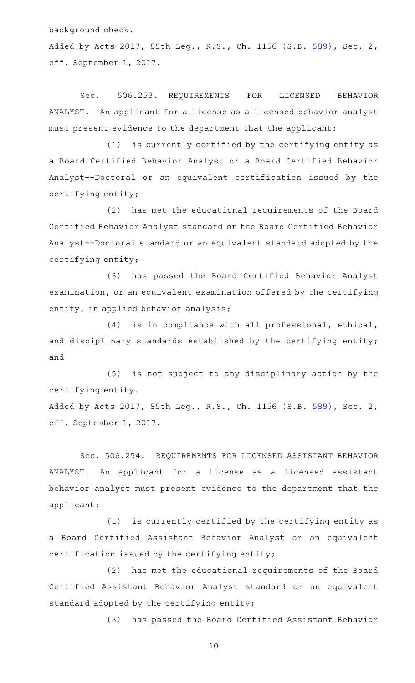background check.

Added by Acts 2017, 85th Leg., R.S., Ch. 1156 (S.B. [589](http://www.legis.state.tx.us/tlodocs/85R/billtext/html/SB00589F.HTM)), Sec. 2, eff. September 1, 2017.

Sec. 506.253. REOUIREMENTS FOR LICENSED BEHAVIOR ANALYST. An applicant for a license as a licensed behavior analyst must present evidence to the department that the applicant:

(1) is currently certified by the certifying entity as a Board Certified Behavior Analyst or a Board Certified Behavior Analyst--Doctoral or an equivalent certification issued by the certifying entity;

(2) has met the educational requirements of the Board Certified Behavior Analyst standard or the Board Certified Behavior Analyst--Doctoral standard or an equivalent standard adopted by the certifying entity;

(3) has passed the Board Certified Behavior Analyst examination, or an equivalent examination offered by the certifying entity, in applied behavior analysis;

(4) is in compliance with all professional, ethical, and disciplinary standards established by the certifying entity; and

(5) is not subject to any disciplinary action by the certifying entity.

Added by Acts 2017, 85th Leg., R.S., Ch. 1156 (S.B. [589](http://www.legis.state.tx.us/tlodocs/85R/billtext/html/SB00589F.HTM)), Sec. 2, eff. September 1, 2017.

Sec. 506.254. REQUIREMENTS FOR LICENSED ASSISTANT BEHAVIOR ANALYST. An applicant for a license as a licensed assistant behavior analyst must present evidence to the department that the applicant:

(1) is currently certified by the certifying entity as a Board Certified Assistant Behavior Analyst or an equivalent certification issued by the certifying entity;

(2) has met the educational requirements of the Board Certified Assistant Behavior Analyst standard or an equivalent standard adopted by the certifying entity;

(3) has passed the Board Certified Assistant Behavior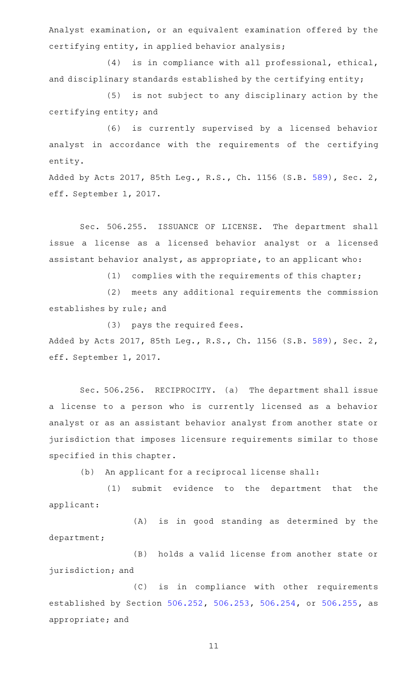Analyst examination, or an equivalent examination offered by the certifying entity, in applied behavior analysis;

(4) is in compliance with all professional, ethical, and disciplinary standards established by the certifying entity;

(5) is not subject to any disciplinary action by the certifying entity; and

(6) is currently supervised by a licensed behavior analyst in accordance with the requirements of the certifying entity.

Added by Acts 2017, 85th Leg., R.S., Ch. 1156 (S.B. [589](http://www.legis.state.tx.us/tlodocs/85R/billtext/html/SB00589F.HTM)), Sec. 2, eff. September 1, 2017.

Sec. 506.255. ISSUANCE OF LICENSE. The department shall issue a license as a licensed behavior analyst or a licensed assistant behavior analyst, as appropriate, to an applicant who:

 $(1)$  complies with the requirements of this chapter;

(2) meets any additional requirements the commission establishes by rule; and

(3) pays the required fees.

Added by Acts 2017, 85th Leg., R.S., Ch. 1156 (S.B. [589](http://www.legis.state.tx.us/tlodocs/85R/billtext/html/SB00589F.HTM)), Sec. 2, eff. September 1, 2017.

Sec. 506.256. RECIPROCITY. (a) The department shall issue a license to a person who is currently licensed as a behavior analyst or as an assistant behavior analyst from another state or jurisdiction that imposes licensure requirements similar to those specified in this chapter.

(b) An applicant for a reciprocal license shall:

(1) submit evidence to the department that the applicant:

(A) is in good standing as determined by the department;

(B) holds a valid license from another state or jurisdiction; and

(C) is in compliance with other requirements established by Section [506.252,](http://www.statutes.legis.state.tx.us/GetStatute.aspx?Code=OC&Value=506.252) [506.253,](http://www.statutes.legis.state.tx.us/GetStatute.aspx?Code=OC&Value=506.253) [506.254](http://www.statutes.legis.state.tx.us/GetStatute.aspx?Code=OC&Value=506.254), or [506.255](http://www.statutes.legis.state.tx.us/GetStatute.aspx?Code=OC&Value=506.255), as appropriate; and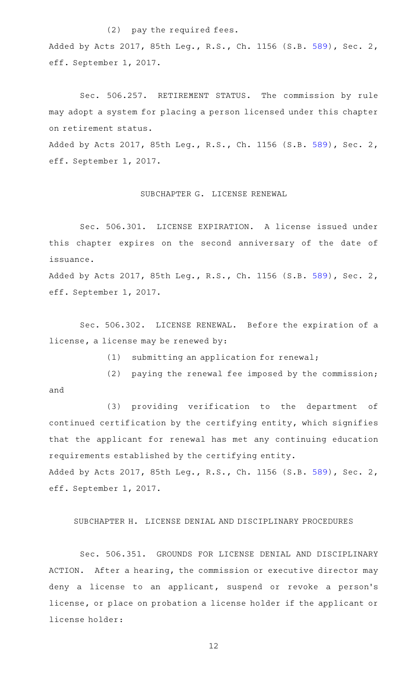#### $(2)$  pay the required fees.

Added by Acts 2017, 85th Leg., R.S., Ch. 1156 (S.B. [589](http://www.legis.state.tx.us/tlodocs/85R/billtext/html/SB00589F.HTM)), Sec. 2, eff. September 1, 2017.

Sec. 506.257. RETIREMENT STATUS. The commission by rule may adopt a system for placing a person licensed under this chapter on retirement status.

Added by Acts 2017, 85th Leg., R.S., Ch. 1156 (S.B. [589](http://www.legis.state.tx.us/tlodocs/85R/billtext/html/SB00589F.HTM)), Sec. 2, eff. September 1, 2017.

SUBCHAPTER G. LICENSE RENEWAL

Sec. 506.301. LICENSE EXPIRATION. A license issued under this chapter expires on the second anniversary of the date of issuance.

Added by Acts 2017, 85th Leg., R.S., Ch. 1156 (S.B. [589](http://www.legis.state.tx.us/tlodocs/85R/billtext/html/SB00589F.HTM)), Sec. 2, eff. September 1, 2017.

Sec. 506.302. LICENSE RENEWAL. Before the expiration of a license, a license may be renewed by:

(1) submitting an application for renewal;

(2) paying the renewal fee imposed by the commission; and

(3) providing verification to the department of continued certification by the certifying entity, which signifies that the applicant for renewal has met any continuing education requirements established by the certifying entity. Added by Acts 2017, 85th Leg., R.S., Ch. 1156 (S.B. [589](http://www.legis.state.tx.us/tlodocs/85R/billtext/html/SB00589F.HTM)), Sec. 2, eff. September 1, 2017.

SUBCHAPTER H. LICENSE DENIAL AND DISCIPLINARY PROCEDURES

Sec. 506.351. GROUNDS FOR LICENSE DENIAL AND DISCIPLINARY ACTION. After a hearing, the commission or executive director may deny a license to an applicant, suspend or revoke a person's license, or place on probation a license holder if the applicant or license holder: